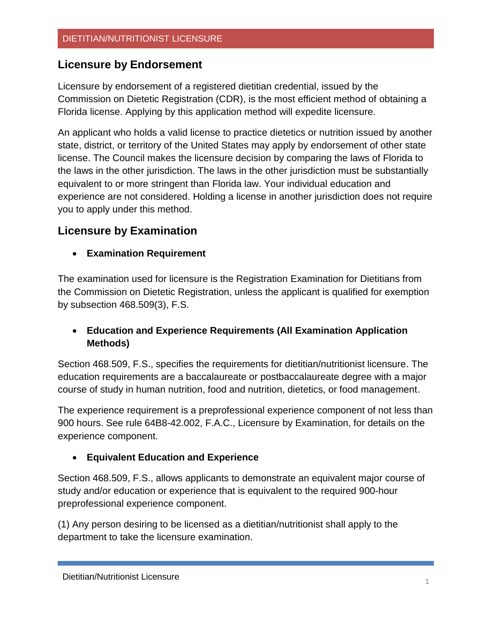## **Licensure by Endorsement**

Licensure by endorsement of a registered dietitian credential, issued by the Commission on Dietetic Registration (CDR), is the most efficient method of obtaining a Florida license. Applying by this application method will expedite licensure.

An applicant who holds a valid license to practice dietetics or nutrition issued by another state, district, or territory of the United States may apply by endorsement of other state license. The Council makes the licensure decision by comparing the laws of Florida to the laws in the other jurisdiction. The laws in the other jurisdiction must be substantially equivalent to or more stringent than Florida law. Your individual education and experience are not considered. Holding a license in another jurisdiction does not require you to apply under this method.

# **Licensure by Examination**

• **Examination Requirement**

The examination used for licensure is the Registration Examination for Dietitians from the Commission on Dietetic Registration, unless the applicant is qualified for exemption by subsection 468.509(3), F.S.

### • **Education and Experience Requirements (All Examination Application Methods)**

Section 468.509, F.S., specifies the requirements for dietitian/nutritionist licensure. The education requirements are a baccalaureate or postbaccalaureate degree with a major course of study in human nutrition, food and nutrition, dietetics, or food management.

The experience requirement is a preprofessional experience component of not less than 900 hours. See rule 64B8-42.002, F.A.C., Licensure by Examination, for details on the experience component.

#### • **Equivalent Education and Experience**

Section 468.509, F.S., allows applicants to demonstrate an equivalent major course of study and/or education or experience that is equivalent to the required 900-hour preprofessional experience component.

(1) Any person desiring to be licensed as a dietitian/nutritionist shall apply to the department to take the licensure examination.